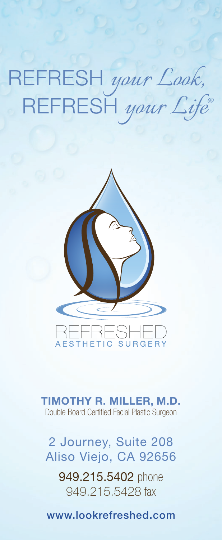REFRESH *your Look,* REFRESH *your Life®*



**TIMOTHY R. MILLER, M.D.** Double Board Certified Facial Plastic Surgeon

2 Journey, Suite 208 Aliso Viejo, CA 92656

949.215.5402 phone 949.215.5428 fax

www.lookrefreshed.com